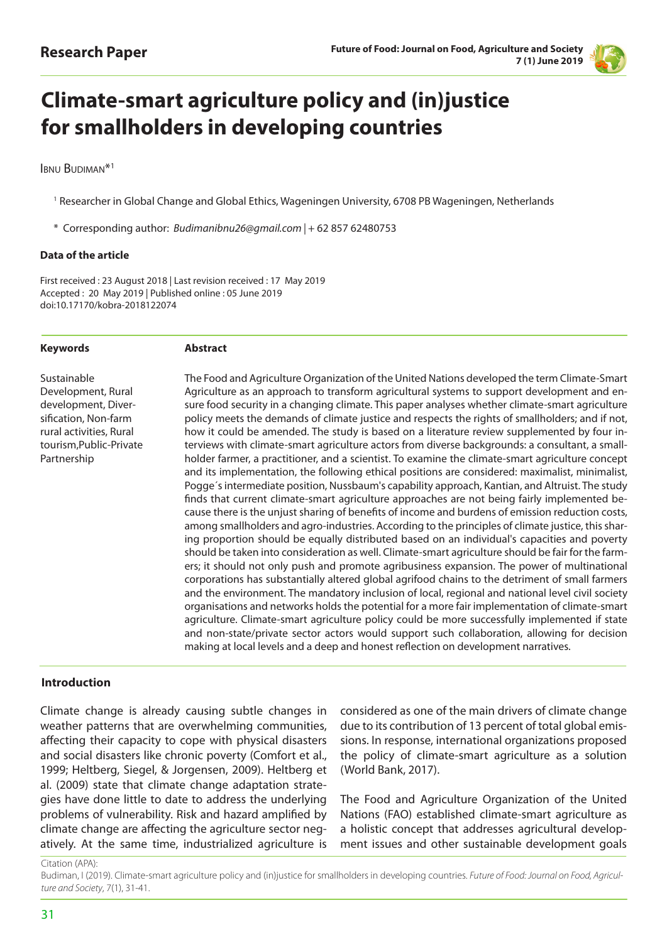

# **Climate-smart agriculture policy and (in)justice for smallholders in developing countries**

Ibnu Budiman\*1

<sup>1</sup> Researcher in Global Change and Global Ethics, Wageningen University, 6708 PB Wageningen, Netherlands

\* Corresponding author: *Budimanibnu26@gmail.com |* + 62 857 62480753

#### **Data of the article**

First received : 23 August 2018 | Last revision received : 17 May 2019 Accepted : 20 May 2019 | Published online : 05 June 2019 doi:10.17170/kobra-2018122074

#### **Keywords**

#### **Abstract**

Sustainable Development, Rural development, Diversification, Non-farm rural activities, Rural tourism,Public-Private Partnership

The Food and Agriculture Organization of the United Nations developed the term Climate-Smart Agriculture as an approach to transform agricultural systems to support development and ensure food security in a changing climate. This paper analyses whether climate-smart agriculture policy meets the demands of climate justice and respects the rights of smallholders; and if not, how it could be amended. The study is based on a literature review supplemented by four interviews with climate-smart agriculture actors from diverse backgrounds: a consultant, a smallholder farmer, a practitioner, and a scientist. To examine the climate-smart agriculture concept and its implementation, the following ethical positions are considered: maximalist, minimalist, Pogge´s intermediate position, Nussbaum's capability approach, Kantian, and Altruist. The study finds that current climate-smart agriculture approaches are not being fairly implemented because there is the unjust sharing of benefits of income and burdens of emission reduction costs, among smallholders and agro-industries. According to the principles of climate justice, this sharing proportion should be equally distributed based on an individual's capacities and poverty should be taken into consideration as well. Climate-smart agriculture should be fair for the farmers; it should not only push and promote agribusiness expansion. The power of multinational corporations has substantially altered global agrifood chains to the detriment of small farmers and the environment. The mandatory inclusion of local, regional and national level civil society organisations and networks holds the potential for a more fair implementation of climate-smart agriculture. Climate-smart agriculture policy could be more successfully implemented if state and non-state/private sector actors would support such collaboration, allowing for decision making at local levels and a deep and honest reflection on development narratives.

## **Introduction**

Climate change is already causing subtle changes in weather patterns that are overwhelming communities, affecting their capacity to cope with physical disasters and social disasters like chronic poverty (Comfort et al., 1999; Heltberg, Siegel, & Jorgensen, 2009). Heltberg et al. (2009) state that climate change adaptation strategies have done little to date to address the underlying problems of vulnerability. Risk and hazard amplified by climate change are affecting the agriculture sector negatively. At the same time, industrialized agriculture is

considered as one of the main drivers of climate change due to its contribution of 13 percent of total global emissions. In response, international organizations proposed the policy of climate-smart agriculture as a solution (World Bank, 2017).

The Food and Agriculture Organization of the United Nations (FAO) established climate-smart agriculture as a holistic concept that addresses agricultural development issues and other sustainable development goals

Citation (APA):

Budiman, I (2019). Climate-smart agriculture policy and (in)justice for smallholders in developing countries. *Future of Food: Journal on Food, Agriculture and Society*, 7(1), 31-41.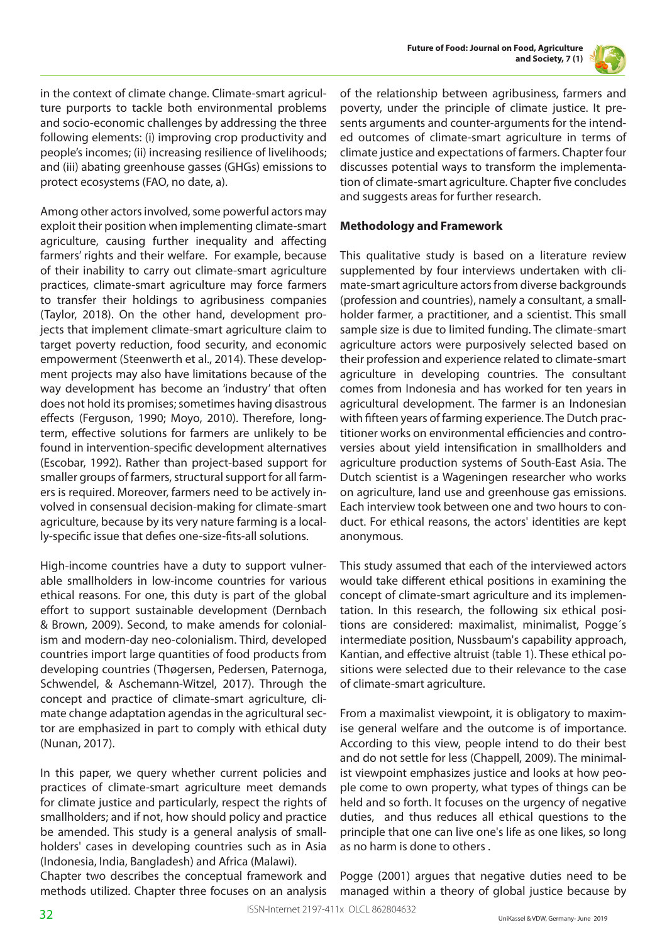



in the context of climate change. Climate-smart agriculture purports to tackle both environmental problems and socio-economic challenges by addressing the three following elements: (i) improving crop productivity and people's incomes; (ii) increasing resilience of livelihoods; and (iii) abating greenhouse gasses (GHGs) emissions to protect ecosystems (FAO, no date, a).

Among other actors involved, some powerful actors may exploit their position when implementing climate-smart agriculture, causing further inequality and affecting farmers' rights and their welfare. For example, because of their inability to carry out climate-smart agriculture practices, climate-smart agriculture may force farmers to transfer their holdings to agribusiness companies (Taylor, 2018). On the other hand, development projects that implement climate-smart agriculture claim to target poverty reduction, food security, and economic empowerment (Steenwerth et al., 2014). These development projects may also have limitations because of the way development has become an 'industry' that often does not hold its promises; sometimes having disastrous effects (Ferguson, 1990; Moyo, 2010). Therefore, longterm, effective solutions for farmers are unlikely to be found in intervention-specific development alternatives (Escobar, 1992). Rather than project-based support for smaller groups of farmers, structural support for all farmers is required. Moreover, farmers need to be actively involved in consensual decision-making for climate-smart agriculture, because by its very nature farming is a locally-specific issue that defies one-size-fits-all solutions.

High-income countries have a duty to support vulnerable smallholders in low-income countries for various ethical reasons. For one, this duty is part of the global effort to support sustainable development (Dernbach & Brown, 2009). Second, to make amends for colonialism and modern-day neo-colonialism. Third, developed countries import large quantities of food products from developing countries (Thøgersen, Pedersen, Paternoga, Schwendel, & Aschemann-Witzel, 2017). Through the concept and practice of climate-smart agriculture, climate change adaptation agendas in the agricultural sector are emphasized in part to comply with ethical duty (Nunan, 2017).

In this paper, we query whether current policies and practices of climate-smart agriculture meet demands for climate justice and particularly, respect the rights of smallholders; and if not, how should policy and practice be amended. This study is a general analysis of smallholders' cases in developing countries such as in Asia (Indonesia, India, Bangladesh) and Africa (Malawi).

Chapter two describes the conceptual framework and methods utilized. Chapter three focuses on an analysis of the relationship between agribusiness, farmers and poverty, under the principle of climate justice. It presents arguments and counter-arguments for the intended outcomes of climate-smart agriculture in terms of climate justice and expectations of farmers. Chapter four discusses potential ways to transform the implementation of climate-smart agriculture. Chapter five concludes and suggests areas for further research.

## **Methodology and Framework**

This qualitative study is based on a literature review supplemented by four interviews undertaken with climate-smart agriculture actors from diverse backgrounds (profession and countries), namely a consultant, a smallholder farmer, a practitioner, and a scientist. This small sample size is due to limited funding. The climate-smart agriculture actors were purposively selected based on their profession and experience related to climate-smart agriculture in developing countries. The consultant comes from Indonesia and has worked for ten years in agricultural development. The farmer is an Indonesian with fifteen years of farming experience. The Dutch practitioner works on environmental efficiencies and controversies about yield intensification in smallholders and agriculture production systems of South-East Asia. The Dutch scientist is a Wageningen researcher who works on agriculture, land use and greenhouse gas emissions. Each interview took between one and two hours to conduct. For ethical reasons, the actors' identities are kept anonymous.

This study assumed that each of the interviewed actors would take different ethical positions in examining the concept of climate-smart agriculture and its implementation. In this research, the following six ethical positions are considered: maximalist, minimalist, Pogge´s intermediate position, Nussbaum's capability approach, Kantian, and effective altruist (table 1). These ethical positions were selected due to their relevance to the case of climate-smart agriculture.

From a maximalist viewpoint, it is obligatory to maximise general welfare and the outcome is of importance. According to this view, people intend to do their best and do not settle for less (Chappell, 2009). The minimalist viewpoint emphasizes justice and looks at how people come to own property, what types of things can be held and so forth. It focuses on the urgency of negative duties, and thus reduces all ethical questions to the principle that one can live one's life as one likes, so long as no harm is done to others .

Pogge (2001) argues that negative duties need to be managed within a theory of global justice because by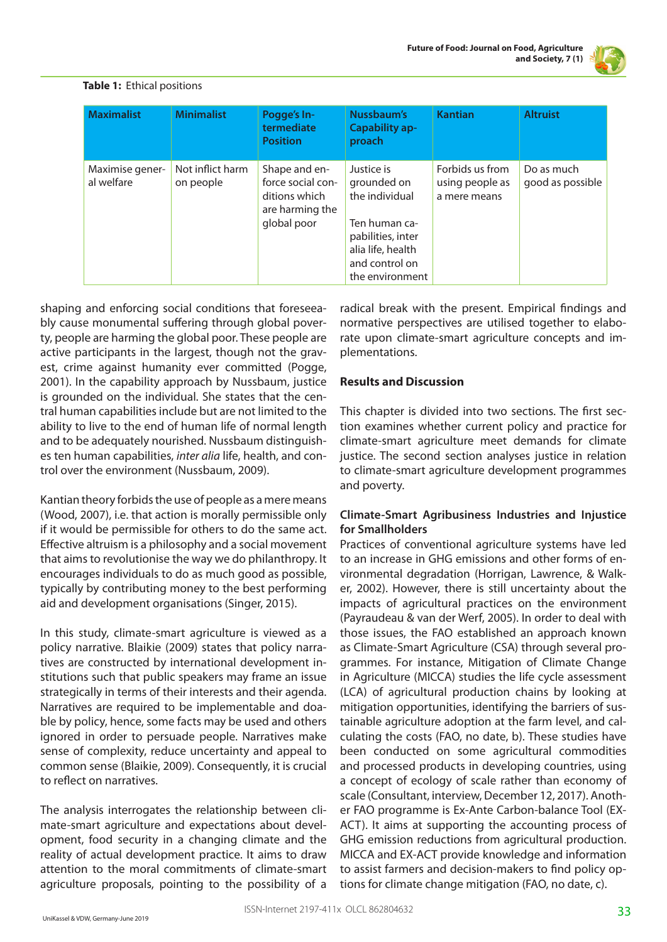

| <b>Maximalist</b>             | <b>Minimalist</b>             | Pogge's In-<br>termediate<br><b>Position</b>                                          | Nussbaum's<br><b>Capability ap-</b><br>proach                                                                                               | <b>Kantian</b>                                     | <b>Altruist</b>                |
|-------------------------------|-------------------------------|---------------------------------------------------------------------------------------|---------------------------------------------------------------------------------------------------------------------------------------------|----------------------------------------------------|--------------------------------|
| Maximise gener-<br>al welfare | Not inflict harm<br>on people | Shape and en-<br>force social con-<br>ditions which<br>are harming the<br>global poor | Justice is<br>grounded on<br>the individual<br>Ten human ca-<br>pabilities, inter<br>alia life, health<br>and control on<br>the environment | Forbids us from<br>using people as<br>a mere means | Do as much<br>good as possible |

## **Table 1:** Ethical positions

shaping and enforcing social conditions that foreseeably cause monumental suffering through global poverty, people are harming the global poor. These people are active participants in the largest, though not the gravest, crime against humanity ever committed (Pogge, 2001). In the capability approach by Nussbaum, justice is grounded on the individual. She states that the central human capabilities include but are not limited to the ability to live to the end of human life of normal length and to be adequately nourished. Nussbaum distinguishes ten human capabilities, *inter alia* life, health, and control over the environment (Nussbaum, 2009).

Kantian theory forbids the use of people as a mere means (Wood, 2007), i.e. that action is morally permissible only if it would be permissible for others to do the same act. Effective altruism is a philosophy and a social movement that aims to revolutionise the way we do philanthropy. It encourages individuals to do as much good as possible, typically by contributing money to the best performing aid and development organisations (Singer, 2015).

In this study, climate-smart agriculture is viewed as a policy narrative. Blaikie (2009) states that policy narratives are constructed by international development institutions such that public speakers may frame an issue strategically in terms of their interests and their agenda. Narratives are required to be implementable and doable by policy, hence, some facts may be used and others ignored in order to persuade people. Narratives make sense of complexity, reduce uncertainty and appeal to common sense (Blaikie, 2009). Consequently, it is crucial to reflect on narratives.

The analysis interrogates the relationship between climate-smart agriculture and expectations about development, food security in a changing climate and the reality of actual development practice. It aims to draw attention to the moral commitments of climate-smart agriculture proposals, pointing to the possibility of a radical break with the present. Empirical findings and normative perspectives are utilised together to elaborate upon climate-smart agriculture concepts and implementations.

## **Results and Discussion**

This chapter is divided into two sections. The first section examines whether current policy and practice for climate-smart agriculture meet demands for climate justice. The second section analyses justice in relation to climate-smart agriculture development programmes and poverty.

# **Climate-Smart Agribusiness Industries and Injustice for Smallholders**

Practices of conventional agriculture systems have led to an increase in GHG emissions and other forms of environmental degradation (Horrigan, Lawrence, & Walker, 2002). However, there is still uncertainty about the impacts of agricultural practices on the environment (Payraudeau & van der Werf, 2005). In order to deal with those issues, the FAO established an approach known as Climate-Smart Agriculture (CSA) through several programmes. For instance, Mitigation of Climate Change in Agriculture (MICCA) studies the life cycle assessment (LCA) of agricultural production chains by looking at mitigation opportunities, identifying the barriers of sustainable agriculture adoption at the farm level, and calculating the costs (FAO, no date, b). These studies have been conducted on some agricultural commodities and processed products in developing countries, using a concept of ecology of scale rather than economy of scale (Consultant, interview, December 12, 2017). Another FAO programme is Ex-Ante Carbon-balance Tool (EX-ACT). It aims at supporting the accounting process of GHG emission reductions from agricultural production. MICCA and EX-ACT provide knowledge and information to assist farmers and decision-makers to find policy options for climate change mitigation (FAO, no date, c).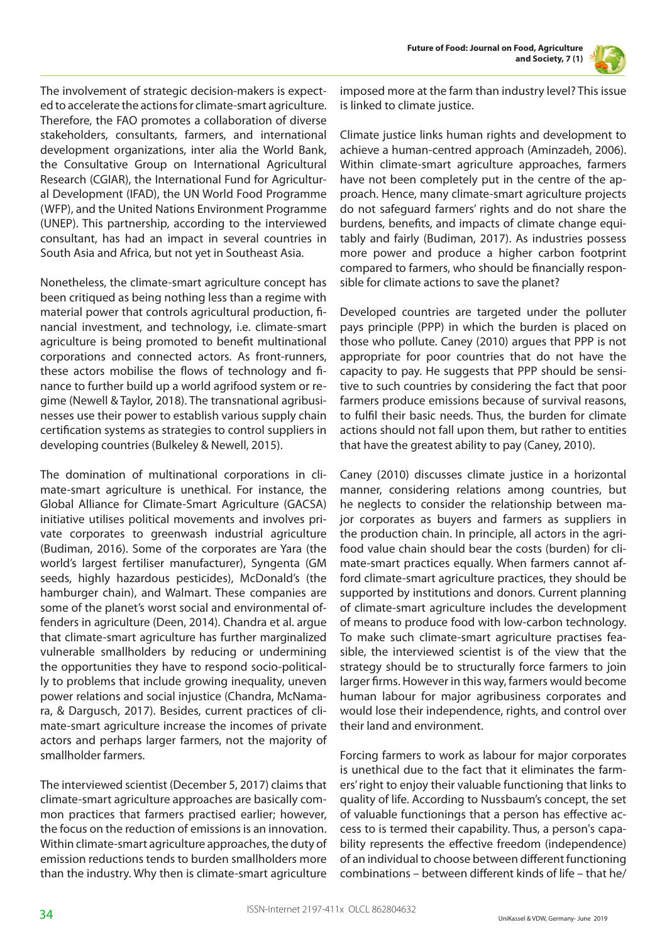

The involvement of strategic decision-makers is expected to accelerate the actions for climate-smart agriculture. Therefore, the FAO promotes a collaboration of diverse stakeholders, consultants, farmers, and international development organizations, inter alia the World Bank, the Consultative Group on International Agricultural Research (CGIAR), the International Fund for Agricultural Development (IFAD), the UN World Food Programme (WFP), and the United Nations Environment Programme (UNEP). This partnership, according to the interviewed consultant, has had an impact in several countries in South Asia and Africa, but not yet in Southeast Asia.

Nonetheless, the climate-smart agriculture concept has been critiqued as being nothing less than a regime with material power that controls agricultural production, financial investment, and technology, i.e. climate-smart agriculture is being promoted to benefit multinational corporations and connected actors. As front-runners, these actors mobilise the flows of technology and finance to further build up a world agrifood system or regime (Newell & Taylor, 2018). The transnational agribusinesses use their power to establish various supply chain certification systems as strategies to control suppliers in developing countries (Bulkeley & Newell, 2015).

The domination of multinational corporations in climate-smart agriculture is unethical. For instance, the Global Alliance for Climate-Smart Agriculture (GACSA) initiative utilises political movements and involves private corporates to greenwash industrial agriculture (Budiman, 2016). Some of the corporates are Yara (the world's largest fertiliser manufacturer), Syngenta (GM seeds, highly hazardous pesticides), McDonald's (the hamburger chain), and Walmart. These companies are some of the planet's worst social and environmental offenders in agriculture (Deen, 2014). Chandra et al. argue that climate-smart agriculture has further marginalized vulnerable smallholders by reducing or undermining the opportunities they have to respond socio-politically to problems that include growing inequality, uneven power relations and social injustice (Chandra, McNamara, & Dargusch, 2017). Besides, current practices of climate-smart agriculture increase the incomes of private actors and perhaps larger farmers, not the majority of smallholder farmers.

The interviewed scientist (December 5, 2017) claims that climate-smart agriculture approaches are basically common practices that farmers practised earlier; however, the focus on the reduction of emissions is an innovation. Within climate-smart agriculture approaches, the duty of emission reductions tends to burden smallholders more than the industry. Why then is climate-smart agriculture

imposed more at the farm than industry level? This issue is linked to climate justice.

Climate justice links human rights and development to achieve a human-centred approach (Aminzadeh, 2006). Within climate-smart agriculture approaches, farmers have not been completely put in the centre of the approach. Hence, many climate-smart agriculture projects do not safeguard farmers' rights and do not share the burdens, benefits, and impacts of climate change equitably and fairly (Budiman, 2017). As industries possess more power and produce a higher carbon footprint compared to farmers, who should be financially responsible for climate actions to save the planet?

Developed countries are targeted under the polluter pays principle (PPP) in which the burden is placed on those who pollute. Caney (2010) argues that PPP is not appropriate for poor countries that do not have the capacity to pay. He suggests that PPP should be sensitive to such countries by considering the fact that poor farmers produce emissions because of survival reasons, to fulfil their basic needs. Thus, the burden for climate actions should not fall upon them, but rather to entities that have the greatest ability to pay (Caney, 2010).

Caney (2010) discusses climate justice in a horizontal manner, considering relations among countries, but he neglects to consider the relationship between major corporates as buyers and farmers as suppliers in the production chain. In principle, all actors in the agrifood value chain should bear the costs (burden) for climate-smart practices equally. When farmers cannot afford climate-smart agriculture practices, they should be supported by institutions and donors. Current planning of climate-smart agriculture includes the development of means to produce food with low-carbon technology. To make such climate-smart agriculture practises feasible, the interviewed scientist is of the view that the strategy should be to structurally force farmers to join larger firms. However in this way, farmers would become human labour for major agribusiness corporates and would lose their independence, rights, and control over their land and environment.

Forcing farmers to work as labour for major corporates is unethical due to the fact that it eliminates the farmers' right to enjoy their valuable functioning that links to quality of life. According to Nussbaum's concept, the set of valuable functionings that a person has effective access to is termed their capability. Thus, a person's capability represents the effective freedom (independence) of an individual to choose between different functioning combinations – between different kinds of life – that he/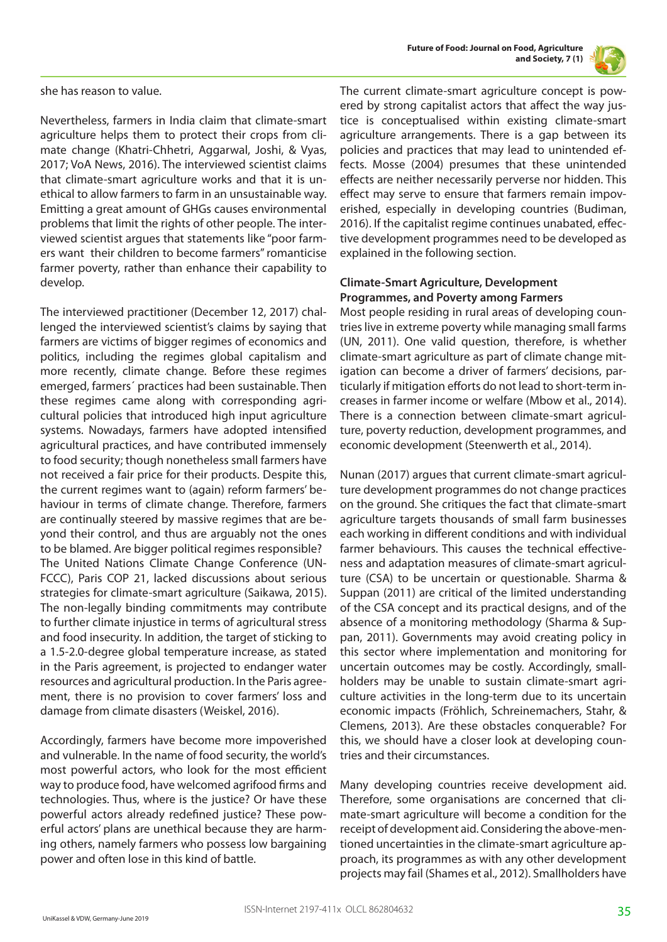



she has reason to value.

Nevertheless, farmers in India claim that climate-smart agriculture helps them to protect their crops from climate change (Khatri-Chhetri, Aggarwal, Joshi, & Vyas, 2017; VoA News, 2016). The interviewed scientist claims that climate-smart agriculture works and that it is unethical to allow farmers to farm in an unsustainable way. Emitting a great amount of GHGs causes environmental problems that limit the rights of other people. The interviewed scientist argues that statements like "poor farmers want their children to become farmers" romanticise farmer poverty, rather than enhance their capability to develop.

The interviewed practitioner (December 12, 2017) challenged the interviewed scientist's claims by saying that farmers are victims of bigger regimes of economics and politics, including the regimes global capitalism and more recently, climate change. Before these regimes emerged, farmers´ practices had been sustainable. Then these regimes came along with corresponding agricultural policies that introduced high input agriculture systems. Nowadays, farmers have adopted intensified agricultural practices, and have contributed immensely to food security; though nonetheless small farmers have not received a fair price for their products. Despite this, the current regimes want to (again) reform farmers' behaviour in terms of climate change. Therefore, farmers are continually steered by massive regimes that are beyond their control, and thus are arguably not the ones to be blamed. Are bigger political regimes responsible? The United Nations Climate Change Conference (UN-FCCC), Paris COP 21, lacked discussions about serious strategies for climate-smart agriculture (Saikawa, 2015). The non-legally binding commitments may contribute to further climate injustice in terms of agricultural stress and food insecurity. In addition, the target of sticking to a 1.5-2.0-degree global temperature increase, as stated in the Paris agreement, is projected to endanger water resources and agricultural production. In the Paris agreement, there is no provision to cover farmers' loss and damage from climate disasters (Weiskel, 2016).

Accordingly, farmers have become more impoverished and vulnerable. In the name of food security, the world's most powerful actors, who look for the most efficient way to produce food, have welcomed agrifood firms and technologies. Thus, where is the justice? Or have these powerful actors already redefined justice? These powerful actors' plans are unethical because they are harming others, namely farmers who possess low bargaining power and often lose in this kind of battle.

The current climate-smart agriculture concept is powered by strong capitalist actors that affect the way justice is conceptualised within existing climate-smart agriculture arrangements. There is a gap between its policies and practices that may lead to unintended effects. Mosse (2004) presumes that these unintended effects are neither necessarily perverse nor hidden. This effect may serve to ensure that farmers remain impoverished, especially in developing countries (Budiman, 2016). If the capitalist regime continues unabated, effective development programmes need to be developed as explained in the following section.

## **Climate-Smart Agriculture, Development Programmes, and Poverty among Farmers**

Most people residing in rural areas of developing countries live in extreme poverty while managing small farms (UN, 2011). One valid question, therefore, is whether climate-smart agriculture as part of climate change mitigation can become a driver of farmers' decisions, particularly if mitigation efforts do not lead to short-term increases in farmer income or welfare (Mbow et al., 2014). There is a connection between climate-smart agriculture, poverty reduction, development programmes, and economic development (Steenwerth et al., 2014).

Nunan (2017) argues that current climate-smart agriculture development programmes do not change practices on the ground. She critiques the fact that climate-smart agriculture targets thousands of small farm businesses each working in different conditions and with individual farmer behaviours. This causes the technical effectiveness and adaptation measures of climate-smart agriculture (CSA) to be uncertain or questionable. Sharma & Suppan (2011) are critical of the limited understanding of the CSA concept and its practical designs, and of the absence of a monitoring methodology (Sharma & Suppan, 2011). Governments may avoid creating policy in this sector where implementation and monitoring for uncertain outcomes may be costly. Accordingly, smallholders may be unable to sustain climate-smart agriculture activities in the long-term due to its uncertain economic impacts (Fröhlich, Schreinemachers, Stahr, & Clemens, 2013). Are these obstacles conquerable? For this, we should have a closer look at developing countries and their circumstances.

Many developing countries receive development aid. Therefore, some organisations are concerned that climate-smart agriculture will become a condition for the receipt of development aid. Considering the above-mentioned uncertainties in the climate-smart agriculture approach, its programmes as with any other development projects may fail (Shames et al., 2012). Smallholders have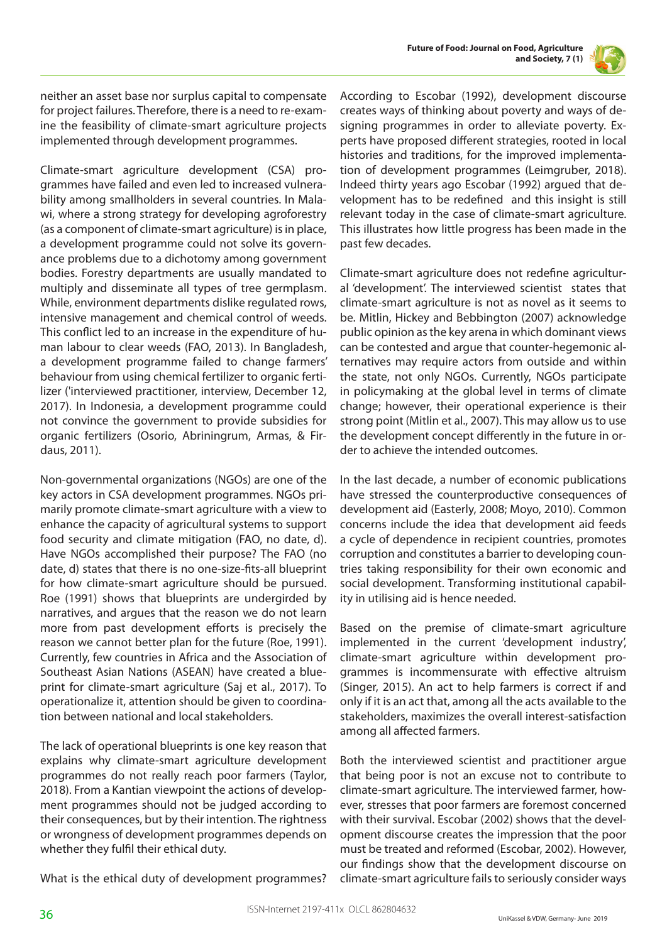



neither an asset base nor surplus capital to compensate for project failures. Therefore, there is a need to re-examine the feasibility of climate-smart agriculture projects implemented through development programmes.

Climate-smart agriculture development (CSA) programmes have failed and even led to increased vulnerability among smallholders in several countries. In Malawi, where a strong strategy for developing agroforestry (as a component of climate-smart agriculture) is in place, a development programme could not solve its governance problems due to a dichotomy among government bodies. Forestry departments are usually mandated to multiply and disseminate all types of tree germplasm. While, environment departments dislike regulated rows, intensive management and chemical control of weeds. This conflict led to an increase in the expenditure of human labour to clear weeds (FAO, 2013). In Bangladesh, a development programme failed to change farmers' behaviour from using chemical fertilizer to organic fertilizer ('interviewed practitioner, interview, December 12, 2017). In Indonesia, a development programme could not convince the government to provide subsidies for organic fertilizers (Osorio, Abriningrum, Armas, & Firdaus, 2011).

Non-governmental organizations (NGOs) are one of the key actors in CSA development programmes. NGOs primarily promote climate-smart agriculture with a view to enhance the capacity of agricultural systems to support food security and climate mitigation (FAO, no date, d). Have NGOs accomplished their purpose? The FAO (no date, d) states that there is no one-size-fits-all blueprint for how climate-smart agriculture should be pursued. Roe (1991) shows that blueprints are undergirded by narratives, and argues that the reason we do not learn more from past development efforts is precisely the reason we cannot better plan for the future (Roe, 1991). Currently, few countries in Africa and the Association of Southeast Asian Nations (ASEAN) have created a blueprint for climate-smart agriculture (Saj et al., 2017). To operationalize it, attention should be given to coordination between national and local stakeholders.

The lack of operational blueprints is one key reason that explains why climate-smart agriculture development programmes do not really reach poor farmers (Taylor, 2018). From a Kantian viewpoint the actions of development programmes should not be judged according to their consequences, but by their intention. The rightness or wrongness of development programmes depends on whether they fulfil their ethical duty.

What is the ethical duty of development programmes?

According to Escobar (1992), development discourse creates ways of thinking about poverty and ways of designing programmes in order to alleviate poverty. Experts have proposed different strategies, rooted in local histories and traditions, for the improved implementation of development programmes (Leimgruber, 2018). Indeed thirty years ago Escobar (1992) argued that development has to be redefined and this insight is still relevant today in the case of climate-smart agriculture. This illustrates how little progress has been made in the past few decades.

Climate-smart agriculture does not redefine agricultural 'development'. The interviewed scientist states that climate-smart agriculture is not as novel as it seems to be. Mitlin, Hickey and Bebbington (2007) acknowledge public opinion as the key arena in which dominant views can be contested and argue that counter-hegemonic alternatives may require actors from outside and within the state, not only NGOs. Currently, NGOs participate in policymaking at the global level in terms of climate change; however, their operational experience is their strong point (Mitlin et al., 2007). This may allow us to use the development concept differently in the future in order to achieve the intended outcomes.

In the last decade, a number of economic publications have stressed the counterproductive consequences of development aid (Easterly, 2008; Moyo, 2010). Common concerns include the idea that development aid feeds a cycle of dependence in recipient countries, promotes corruption and constitutes a barrier to developing countries taking responsibility for their own economic and social development. Transforming institutional capability in utilising aid is hence needed.

Based on the premise of climate-smart agriculture implemented in the current 'development industry', climate-smart agriculture within development programmes is incommensurate with effective altruism (Singer, 2015). An act to help farmers is correct if and only if it is an act that, among all the acts available to the stakeholders, maximizes the overall interest-satisfaction among all affected farmers.

Both the interviewed scientist and practitioner argue that being poor is not an excuse not to contribute to climate-smart agriculture. The interviewed farmer, however, stresses that poor farmers are foremost concerned with their survival. Escobar (2002) shows that the development discourse creates the impression that the poor must be treated and reformed (Escobar, 2002). However, our findings show that the development discourse on climate-smart agriculture fails to seriously consider ways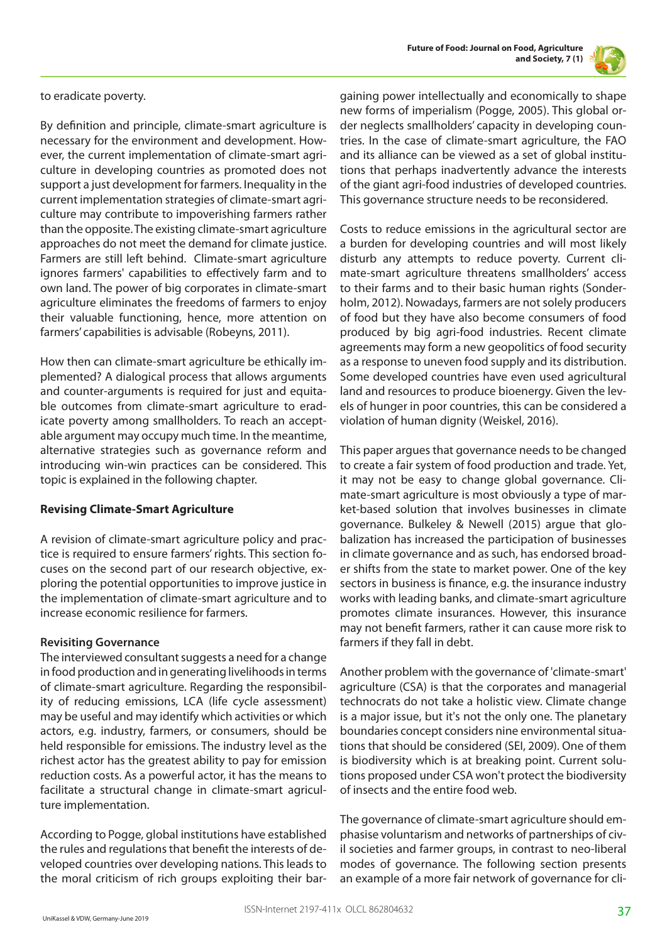



to eradicate poverty.

By definition and principle, climate-smart agriculture is necessary for the environment and development. However, the current implementation of climate-smart agriculture in developing countries as promoted does not support a just development for farmers. Inequality in the current implementation strategies of climate-smart agriculture may contribute to impoverishing farmers rather than the opposite. The existing climate-smart agriculture approaches do not meet the demand for climate justice. Farmers are still left behind. Climate-smart agriculture ignores farmers' capabilities to effectively farm and to own land. The power of big corporates in climate-smart agriculture eliminates the freedoms of farmers to enjoy their valuable functioning, hence, more attention on farmers' capabilities is advisable (Robeyns, 2011).

How then can climate-smart agriculture be ethically implemented? A dialogical process that allows arguments and counter-arguments is required for just and equitable outcomes from climate-smart agriculture to eradicate poverty among smallholders. To reach an acceptable argument may occupy much time. In the meantime, alternative strategies such as governance reform and introducing win-win practices can be considered. This topic is explained in the following chapter.

## **Revising Climate-Smart Agriculture**

A revision of climate-smart agriculture policy and practice is required to ensure farmers' rights. This section focuses on the second part of our research objective, exploring the potential opportunities to improve justice in the implementation of climate-smart agriculture and to increase economic resilience for farmers.

## **Revisiting Governance**

The interviewed consultant suggests a need for a change in food production and in generating livelihoods in terms of climate-smart agriculture. Regarding the responsibility of reducing emissions, LCA (life cycle assessment) may be useful and may identify which activities or which actors, e.g. industry, farmers, or consumers, should be held responsible for emissions. The industry level as the richest actor has the greatest ability to pay for emission reduction costs. As a powerful actor, it has the means to facilitate a structural change in climate-smart agriculture implementation.

According to Pogge, global institutions have established the rules and regulations that benefit the interests of developed countries over developing nations. This leads to the moral criticism of rich groups exploiting their bargaining power intellectually and economically to shape new forms of imperialism (Pogge, 2005). This global order neglects smallholders' capacity in developing countries. In the case of climate-smart agriculture, the FAO and its alliance can be viewed as a set of global institutions that perhaps inadvertently advance the interests of the giant agri-food industries of developed countries. This governance structure needs to be reconsidered.

Costs to reduce emissions in the agricultural sector are a burden for developing countries and will most likely disturb any attempts to reduce poverty. Current climate-smart agriculture threatens smallholders' access to their farms and to their basic human rights (Sonderholm, 2012). Nowadays, farmers are not solely producers of food but they have also become consumers of food produced by big agri-food industries. Recent climate agreements may form a new geopolitics of food security as a response to uneven food supply and its distribution. Some developed countries have even used agricultural land and resources to produce bioenergy. Given the levels of hunger in poor countries, this can be considered a violation of human dignity (Weiskel, 2016).

This paper argues that governance needs to be changed to create a fair system of food production and trade. Yet, it may not be easy to change global governance. Climate-smart agriculture is most obviously a type of market-based solution that involves businesses in climate governance. Bulkeley & Newell (2015) argue that globalization has increased the participation of businesses in climate governance and as such, has endorsed broader shifts from the state to market power. One of the key sectors in business is finance, e.g. the insurance industry works with leading banks, and climate-smart agriculture promotes climate insurances. However, this insurance may not benefit farmers, rather it can cause more risk to farmers if they fall in debt.

Another problem with the governance of 'climate-smart' agriculture (CSA) is that the corporates and managerial technocrats do not take a holistic view. Climate change is a major issue, but it's not the only one. The planetary boundaries concept considers nine environmental situations that should be considered (SEI, 2009). One of them is biodiversity which is at breaking point. Current solutions proposed under CSA won't protect the biodiversity of insects and the entire food web.

The governance of climate-smart agriculture should emphasise voluntarism and networks of partnerships of civil societies and farmer groups, in contrast to neo-liberal modes of governance. The following section presents an example of a more fair network of governance for cli-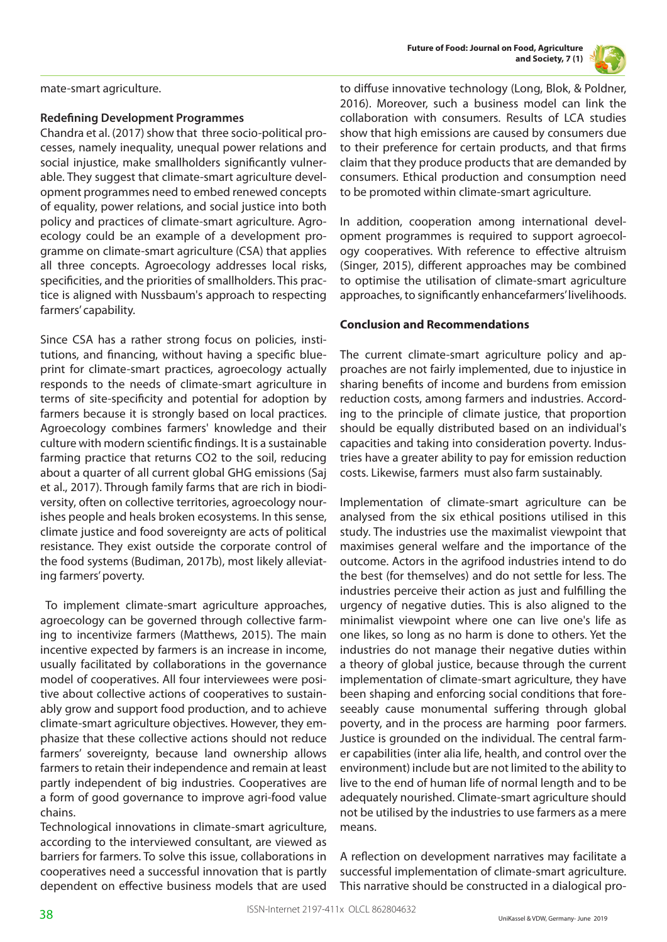

mate-smart agriculture.

## **Redefining Development Programmes**

Chandra et al. (2017) show that three socio-political processes, namely inequality, unequal power relations and social injustice, make smallholders significantly vulnerable. They suggest that climate-smart agriculture development programmes need to embed renewed concepts of equality, power relations, and social justice into both policy and practices of climate-smart agriculture. Agroecology could be an example of a development programme on climate-smart agriculture (CSA) that applies all three concepts. Agroecology addresses local risks, specificities, and the priorities of smallholders. This practice is aligned with Nussbaum's approach to respecting farmers' capability.

Since CSA has a rather strong focus on policies, institutions, and financing, without having a specific blueprint for climate-smart practices, agroecology actually responds to the needs of climate-smart agriculture in terms of site-specificity and potential for adoption by farmers because it is strongly based on local practices. Agroecology combines farmers' knowledge and their culture with modern scientific findings. It is a sustainable farming practice that returns CO2 to the soil, reducing about a quarter of all current global GHG emissions (Saj et al., 2017). Through family farms that are rich in biodiversity, often on collective territories, agroecology nourishes people and heals broken ecosystems. In this sense, climate justice and food sovereignty are acts of political resistance. They exist outside the corporate control of the food systems (Budiman, 2017b), most likely alleviating farmers' poverty.

 To implement climate-smart agriculture approaches, agroecology can be governed through collective farming to incentivize farmers (Matthews, 2015). The main incentive expected by farmers is an increase in income, usually facilitated by collaborations in the governance model of cooperatives. All four interviewees were positive about collective actions of cooperatives to sustainably grow and support food production, and to achieve climate-smart agriculture objectives. However, they emphasize that these collective actions should not reduce farmers' sovereignty, because land ownership allows farmers to retain their independence and remain at least partly independent of big industries. Cooperatives are a form of good governance to improve agri-food value chains.

Technological innovations in climate-smart agriculture, according to the interviewed consultant, are viewed as barriers for farmers. To solve this issue, collaborations in cooperatives need a successful innovation that is partly dependent on effective business models that are used to diffuse innovative technology (Long, Blok, & Poldner, 2016). Moreover, such a business model can link the collaboration with consumers. Results of LCA studies show that high emissions are caused by consumers due to their preference for certain products, and that firms claim that they produce products that are demanded by consumers. Ethical production and consumption need to be promoted within climate-smart agriculture.

In addition, cooperation among international development programmes is required to support agroecology cooperatives. With reference to effective altruism (Singer, 2015), different approaches may be combined to optimise the utilisation of climate-smart agriculture approaches, to significantly enhancefarmers' livelihoods.

## **Conclusion and Recommendations**

The current climate-smart agriculture policy and approaches are not fairly implemented, due to injustice in sharing benefits of income and burdens from emission reduction costs, among farmers and industries. According to the principle of climate justice, that proportion should be equally distributed based on an individual's capacities and taking into consideration poverty. Industries have a greater ability to pay for emission reduction costs. Likewise, farmers must also farm sustainably.

Implementation of climate-smart agriculture can be analysed from the six ethical positions utilised in this study. The industries use the maximalist viewpoint that maximises general welfare and the importance of the outcome. Actors in the agrifood industries intend to do the best (for themselves) and do not settle for less. The industries perceive their action as just and fulfilling the urgency of negative duties. This is also aligned to the minimalist viewpoint where one can live one's life as one likes, so long as no harm is done to others. Yet the industries do not manage their negative duties within a theory of global justice, because through the current implementation of climate-smart agriculture, they have been shaping and enforcing social conditions that foreseeably cause monumental suffering through global poverty, and in the process are harming poor farmers. Justice is grounded on the individual. The central farmer capabilities (inter alia life, health, and control over the environment) include but are not limited to the ability to live to the end of human life of normal length and to be adequately nourished. Climate-smart agriculture should not be utilised by the industries to use farmers as a mere means.

A reflection on development narratives may facilitate a successful implementation of climate-smart agriculture. This narrative should be constructed in a dialogical pro-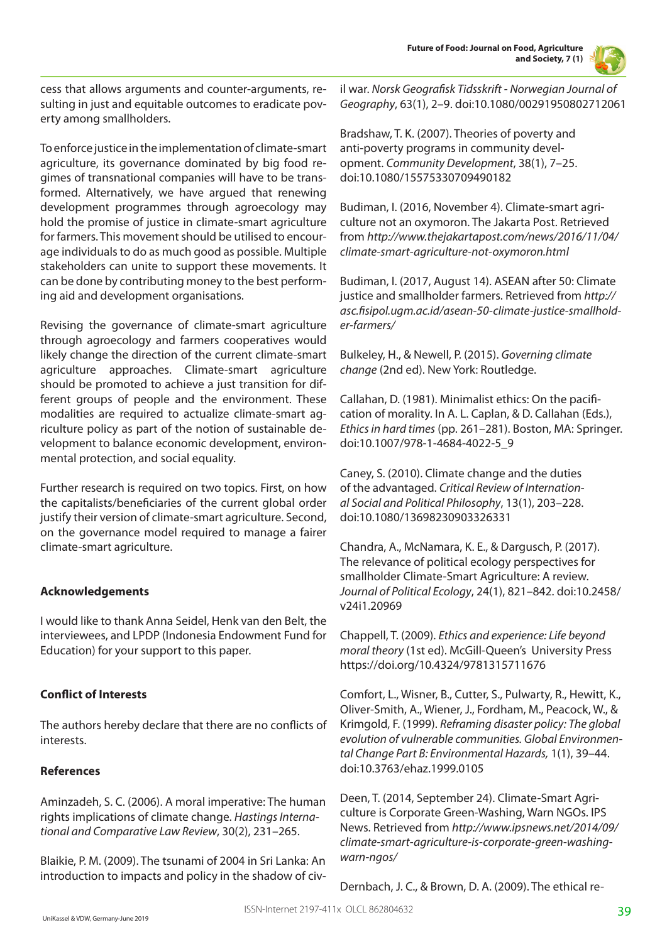**Future of Food: Journal on Food, Agriculture and Society, 7 (1)**



cess that allows arguments and counter-arguments, resulting in just and equitable outcomes to eradicate poverty among smallholders.

To enforce justice in the implementation of climate-smart agriculture, its governance dominated by big food regimes of transnational companies will have to be transformed. Alternatively, we have argued that renewing development programmes through agroecology may hold the promise of justice in climate-smart agriculture for farmers. This movement should be utilised to encourage individuals to do as much good as possible. Multiple stakeholders can unite to support these movements. It can be done by contributing money to the best performing aid and development organisations.

Revising the governance of climate-smart agriculture through agroecology and farmers cooperatives would likely change the direction of the current climate-smart agriculture approaches. Climate-smart agriculture should be promoted to achieve a just transition for different groups of people and the environment. These modalities are required to actualize climate-smart agriculture policy as part of the notion of sustainable development to balance economic development, environmental protection, and social equality.

Further research is required on two topics. First, on how the capitalists/beneficiaries of the current global order justify their version of climate-smart agriculture. Second, on the governance model required to manage a fairer climate-smart agriculture.

## **Acknowledgements**

I would like to thank Anna Seidel, Henk van den Belt, the interviewees, and LPDP (Indonesia Endowment Fund for Education) for your support to this paper.

## **Conflict of Interests**

The authors hereby declare that there are no conflicts of interests.

## **References**

Aminzadeh, S. C. (2006). A moral imperative: The human rights implications of climate change. *Hastings International and Comparative Law Review*, 30(2), 231–265.

Blaikie, P. M. (2009). The tsunami of 2004 in Sri Lanka: An introduction to impacts and policy in the shadow of civil war. *Norsk Geografisk Tidsskrift - Norwegian Journal of Geography*, 63(1), 2–9. doi:10.1080/00291950802712061

Bradshaw, T. K. (2007). Theories of poverty and anti-poverty programs in community development. *Community Development*, 38(1), 7–25. doi:10.1080/15575330709490182

Budiman, I. (2016, November 4). Climate-smart agriculture not an oxymoron. The Jakarta Post. Retrieved from *http://www.thejakartapost.com/news/2016/11/04/ climate-smart-agriculture-not-oxymoron.html*

Budiman, I. (2017, August 14). ASEAN after 50: Climate justice and smallholder farmers. Retrieved from *http:// asc.fisipol.ugm.ac.id/asean-50-climate-justice-smallholder-farmers/*

Bulkeley, H., & Newell, P. (2015). *Governing climate change* (2nd ed). New York: Routledge.

Callahan, D. (1981). Minimalist ethics: On the pacification of morality. In A. L. Caplan, & D. Callahan (Eds.), *Ethics in hard times* (pp. 261–281). Boston, MA: Springer. doi:10.1007/978-1-4684-4022-5\_9

Caney, S. (2010). Climate change and the duties of the advantaged. *Critical Review of International Social and Political Philosophy*, 13(1), 203–228. doi:10.1080/13698230903326331

Chandra, A., McNamara, K. E., & Dargusch, P. (2017). The relevance of political ecology perspectives for smallholder Climate-Smart Agriculture: A review. *Journal of Political Ecology*, 24(1), 821–842. doi:10.2458/ v24i1.20969

Chappell, T. (2009). *Ethics and experience: Life beyond moral theory* (1st ed). McGill-Queen's University Press https://doi.org/10.4324/9781315711676

Comfort, L., Wisner, B., Cutter, S., Pulwarty, R., Hewitt, K., Oliver-Smith, A., Wiener, J., Fordham, M., Peacock, W., & Krimgold, F. (1999). *Reframing disaster policy: The global evolution of vulnerable communities. Global Environmental Change Part B: Environmental Hazards,* 1(1), 39–44. doi:10.3763/ehaz.1999.0105

Deen, T. (2014, September 24). Climate-Smart Agriculture is Corporate Green-Washing, Warn NGOs. IPS News. Retrieved from *http://www.ipsnews.net/2014/09/ climate-smart-agriculture-is-corporate-green-washingwarn-ngos/*

Dernbach, J. C., & Brown, D. A. (2009). The ethical re-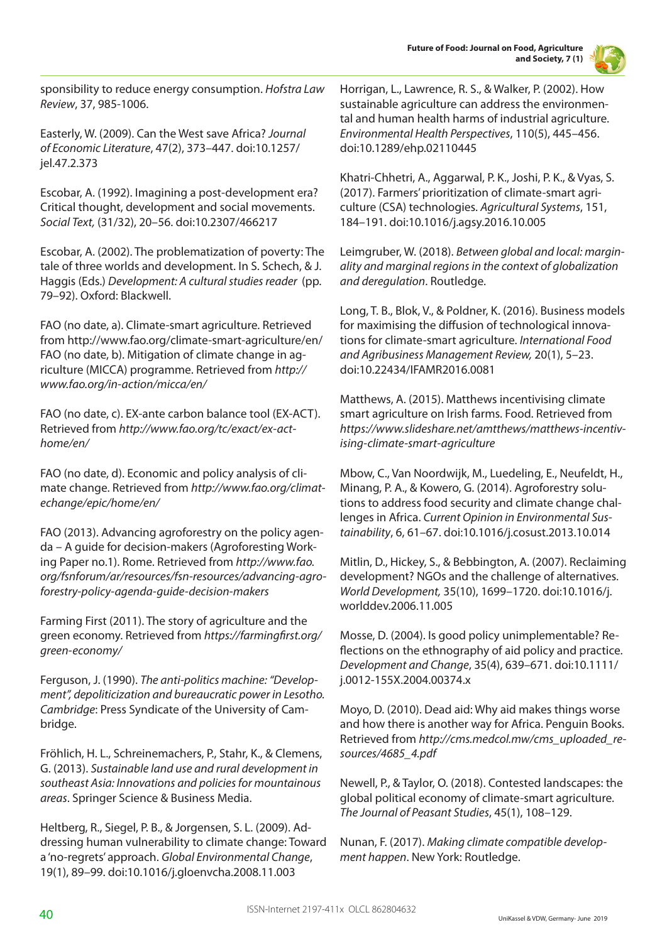

sponsibility to reduce energy consumption. *Hofstra Law Review*, 37, 985-1006.

Easterly, W. (2009). Can the West save Africa? *Journal of Economic Literature*, 47(2), 373–447. doi:10.1257/ jel.47.2.373

Escobar, A. (1992). Imagining a post-development era? Critical thought, development and social movements. *Social Text,* (31/32), 20–56. doi:10.2307/466217

Escobar, A. (2002). The problematization of poverty: The tale of three worlds and development. In S. Schech, & J. Haggis (Eds.) *Development: A cultural studies reader* (pp. 79–92). Oxford: Blackwell.

FAO (no date, a). Climate-smart agriculture. Retrieved from http://www.fao.org/climate-smart-agriculture/en/ FAO (no date, b). Mitigation of climate change in agriculture (MICCA) programme. Retrieved from *http:// www.fao.org/in-action/micca/en/*

FAO (no date, c). EX-ante carbon balance tool (EX-ACT). Retrieved from *http://www.fao.org/tc/exact/ex-acthome/en/*

FAO (no date, d). Economic and policy analysis of climate change. Retrieved from *http://www.fao.org/climatechange/epic/home/en/*

FAO (2013). Advancing agroforestry on the policy agenda – A guide for decision-makers (Agroforesting Working Paper no.1). Rome. Retrieved from *http://www.fao. org/fsnforum/ar/resources/fsn-resources/advancing-agroforestry-policy-agenda-guide-decision-makers*

Farming First (2011). The story of agriculture and the green economy. Retrieved from *https://farmingfirst.org/ green-economy/* 

Ferguson, J. (1990). *The anti-politics machine: "Development", depoliticization and bureaucratic power in Lesotho. Cambridge*: Press Syndicate of the University of Cambridge.

Fröhlich, H. L., Schreinemachers, P., Stahr, K., & Clemens, G. (2013). *Sustainable land use and rural development in southeast Asia: Innovations and policies for mountainous areas*. Springer Science & Business Media.

Heltberg, R., Siegel, P. B., & Jorgensen, S. L. (2009). Addressing human vulnerability to climate change: Toward a 'no-regrets' approach. *Global Environmental Change*, 19(1), 89–99. doi:10.1016/j.gloenvcha.2008.11.003

Horrigan, L., Lawrence, R. S., & Walker, P. (2002). How sustainable agriculture can address the environmental and human health harms of industrial agriculture. *Environmental Health Perspectives*, 110(5), 445–456. doi:10.1289/ehp.02110445

Khatri-Chhetri, A., Aggarwal, P. K., Joshi, P. K., & Vyas, S. (2017). Farmers' prioritization of climate-smart agriculture (CSA) technologies. *Agricultural Systems*, 151, 184–191. doi:10.1016/j.agsy.2016.10.005

Leimgruber, W. (2018). *Between global and local: marginality and marginal regions in the context of globalization and deregulation*. Routledge.

Long, T. B., Blok, V., & Poldner, K. (2016). Business models for maximising the diffusion of technological innovations for climate-smart agriculture. *International Food and Agribusiness Management Review,* 20(1), 5–23. doi:10.22434/IFAMR2016.0081

Matthews, A. (2015). Matthews incentivising climate smart agriculture on Irish farms. Food. Retrieved from *https://www.slideshare.net/amtthews/matthews-incentivising-climate-smart-agriculture*

Mbow, C., Van Noordwijk, M., Luedeling, E., Neufeldt, H., Minang, P. A., & Kowero, G. (2014). Agroforestry solutions to address food security and climate change challenges in Africa. *Current Opinion in Environmental Sustainability*, 6, 61–67. doi:10.1016/j.cosust.2013.10.014

Mitlin, D., Hickey, S., & Bebbington, A. (2007). Reclaiming development? NGOs and the challenge of alternatives. *World Development,* 35(10), 1699–1720. doi:10.1016/j. worlddev.2006.11.005

Mosse, D. (2004). Is good policy unimplementable? Reflections on the ethnography of aid policy and practice. *Development and Change*, 35(4), 639–671. doi:10.1111/ j.0012-155X.2004.00374.x

Moyo, D. (2010). Dead aid: Why aid makes things worse and how there is another way for Africa. Penguin Books. Retrieved from *http://cms.medcol.mw/cms\_uploaded\_resources/4685\_4.pdf*

Newell, P., & Taylor, O. (2018). Contested landscapes: the global political economy of climate-smart agriculture. *The Journal of Peasant Studies*, 45(1), 108–129.

Nunan, F. (2017). *Making climate compatible development happen*. New York: Routledge.